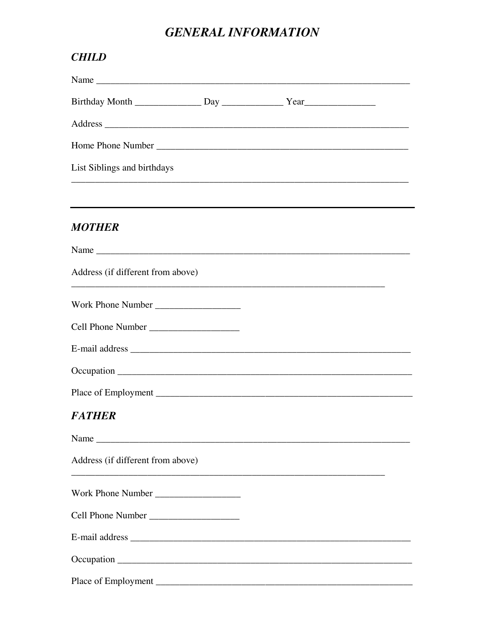# **GENERAL INFORMATION**

| <b>CHILD</b>                      |                                                                                   |  |
|-----------------------------------|-----------------------------------------------------------------------------------|--|
|                                   |                                                                                   |  |
|                                   |                                                                                   |  |
|                                   |                                                                                   |  |
|                                   |                                                                                   |  |
| List Siblings and birthdays       |                                                                                   |  |
|                                   | ,我们也不能在这里的时候,我们也不能在这里的时候,我们也不能不能不能不能不能不能不能不能不能不能。""我们的人们也不能不能不能不能不能不能不能不能不能不能不能不  |  |
| <b>MOTHER</b>                     |                                                                                   |  |
|                                   |                                                                                   |  |
| Address (if different from above) | ,我们也不能在这里的时候,我们也不能在这里的时候,我们也不能在这里的时候,我们也不能会在这里的时候,我们也不能会在这里的时候,我们也不能会在这里的时候,我们也不能 |  |
|                                   |                                                                                   |  |
|                                   |                                                                                   |  |
|                                   |                                                                                   |  |
|                                   |                                                                                   |  |
|                                   |                                                                                   |  |
| <b>FATHER</b>                     |                                                                                   |  |
|                                   |                                                                                   |  |
| Address (if different from above) |                                                                                   |  |
| Work Phone Number                 |                                                                                   |  |
|                                   |                                                                                   |  |
|                                   |                                                                                   |  |
|                                   |                                                                                   |  |
|                                   |                                                                                   |  |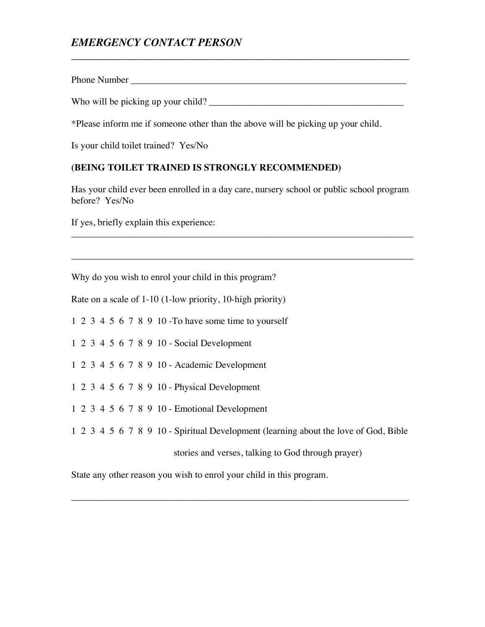## *EMERGENCY CONTACT PERSON*

Phone Number  $\blacksquare$ 

Who will be picking up your child? \_\_\_\_\_\_\_\_\_\_\_\_\_\_\_\_\_\_\_\_\_\_\_\_\_\_\_\_\_\_\_\_\_\_\_\_\_\_\_\_\_

\_\_\_\_\_\_\_\_\_\_\_\_\_\_\_\_\_\_\_\_\_\_\_\_\_\_\_\_\_\_\_\_\_\_\_\_\_\_\_\_\_\_\_\_\_\_\_\_\_\_\_\_\_\_\_\_\_\_\_\_\_

\*Please inform me if someone other than the above will be picking up your child.

Is your child toilet trained? Yes/No

#### **(BEING TOILET TRAINED IS STRONGLY RECOMMENDED)**

Has your child ever been enrolled in a day care, nursery school or public school program before? Yes/No

\_\_\_\_\_\_\_\_\_\_\_\_\_\_\_\_\_\_\_\_\_\_\_\_\_\_\_\_\_\_\_\_\_\_\_\_\_\_\_\_\_\_\_\_\_\_\_\_\_\_\_\_\_\_\_\_\_\_\_\_\_\_\_\_\_\_\_\_\_\_\_\_

\_\_\_\_\_\_\_\_\_\_\_\_\_\_\_\_\_\_\_\_\_\_\_\_\_\_\_\_\_\_\_\_\_\_\_\_\_\_\_\_\_\_\_\_\_\_\_\_\_\_\_\_\_\_\_\_\_\_\_\_\_\_\_\_\_\_\_\_\_\_\_\_

If yes, briefly explain this experience:

Why do you wish to enrol your child in this program?

Rate on a scale of 1-10 (1-low priority, 10-high priority)

1 2 3 4 5 6 7 8 9 10 -To have some time to yourself

1 2 3 4 5 6 7 8 9 10 - Social Development

1 2 3 4 5 6 7 8 9 10 - Academic Development

1 2 3 4 5 6 7 8 9 10 - Physical Development

1 2 3 4 5 6 7 8 9 10 - Emotional Development

1 2 3 4 5 6 7 8 9 10 - Spiritual Development (learning about the love of God, Bible

\_\_\_\_\_\_\_\_\_\_\_\_\_\_\_\_\_\_\_\_\_\_\_\_\_\_\_\_\_\_\_\_\_\_\_\_\_\_\_\_\_\_\_\_\_\_\_\_\_\_\_\_\_\_\_\_\_\_\_\_\_\_\_\_\_\_\_\_\_\_\_

stories and verses, talking to God through prayer)

State any other reason you wish to enrol your child in this program.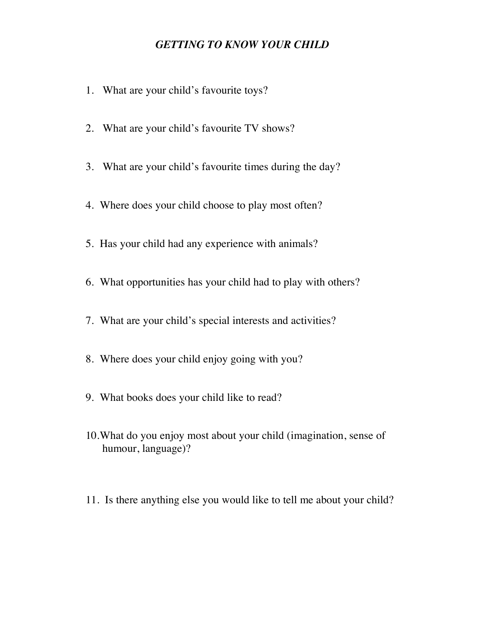### *GETTING TO KNOW YOUR CHILD*

- 1. What are your child's favourite toys?
- 2. What are your child's favourite TV shows?
- 3. What are your child's favourite times during the day?
- 4. Where does your child choose to play most often?
- 5. Has your child had any experience with animals?
- 6. What opportunities has your child had to play with others?
- 7. What are your child's special interests and activities?
- 8. Where does your child enjoy going with you?
- 9. What books does your child like to read?
- 10.What do you enjoy most about your child (imagination, sense of humour, language)?
- 11. Is there anything else you would like to tell me about your child?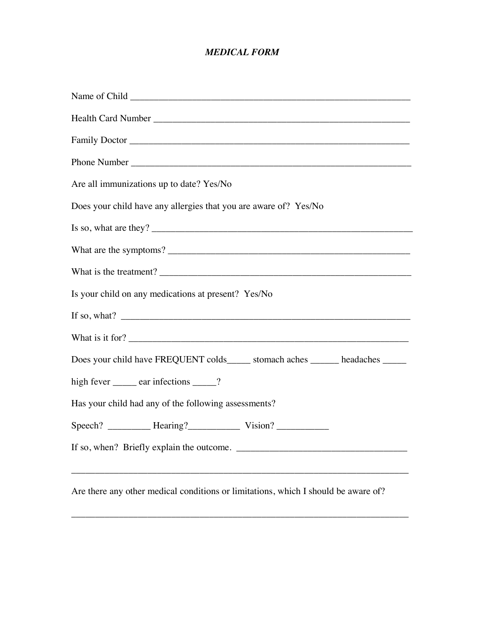### *MEDICAL FORM*

| Are all immunizations up to date? Yes/No                                           |
|------------------------------------------------------------------------------------|
| Does your child have any allergies that you are aware of? Yes/No                   |
|                                                                                    |
| What are the symptoms?                                                             |
|                                                                                    |
| Is your child on any medications at present? Yes/No                                |
|                                                                                    |
| What is it for?                                                                    |
| Does your child have FREQUENT colds______ stomach aches ______ headaches ______    |
| high fever <u>example</u> ear infections equals 2.                                 |
| Has your child had any of the following assessments?                               |
|                                                                                    |
|                                                                                    |
| ,我们也不能在这里的时候,我们也不能在这里的时候,我们也不能会在这里的时候,我们也不能会在这里的时候,我们也不能会在这里的时候,我们也不能会在这里的时候,我们也不  |
| Are there any other medical conditions or limitations, which I should be aware of? |

\_\_\_\_\_\_\_\_\_\_\_\_\_\_\_\_\_\_\_\_\_\_\_\_\_\_\_\_\_\_\_\_\_\_\_\_\_\_\_\_\_\_\_\_\_\_\_\_\_\_\_\_\_\_\_\_\_\_\_\_\_\_\_\_\_\_\_\_\_\_\_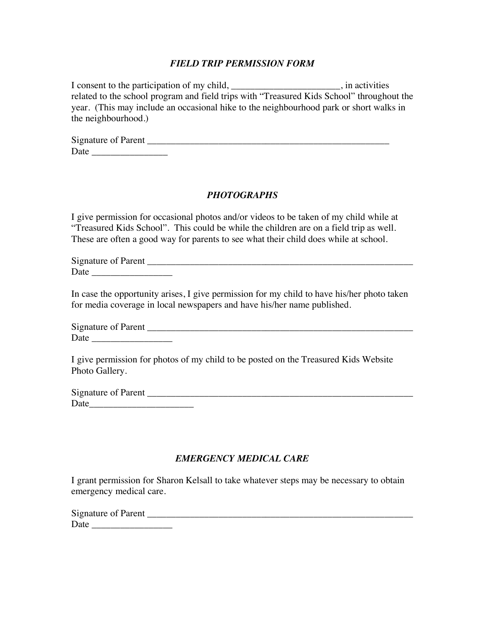#### *FIELD TRIP PERMISSION FORM*

I consent to the participation of my child, \_\_\_\_\_\_\_\_\_\_\_\_\_\_\_\_\_\_\_\_\_\_\_, in activities related to the school program and field trips with "Treasured Kids School" throughout the year. (This may include an occasional hike to the neighbourhood park or short walks in the neighbourhood.)

| <b>Signature of Parent</b> |  |  |
|----------------------------|--|--|
| Date                       |  |  |

#### *PHOTOGRAPHS*

I give permission for occasional photos and/or videos to be taken of my child while at "Treasured Kids School". This could be while the children are on a field trip as well. These are often a good way for parents to see what their child does while at school.

Signature of Parent \_\_\_\_\_\_\_\_\_\_\_\_\_\_\_\_\_\_\_\_\_\_\_\_\_\_\_\_\_\_\_\_\_\_\_\_\_\_\_\_\_\_\_\_\_\_\_\_\_\_\_\_\_\_\_\_ Date \_\_\_\_\_\_\_\_\_\_\_\_\_\_\_\_\_

In case the opportunity arises, I give permission for my child to have his/her photo taken for media coverage in local newspapers and have his/her name published.

Signature of Parent \_\_\_\_\_\_\_\_\_\_\_\_\_\_\_\_\_\_\_\_\_\_\_\_\_\_\_\_\_\_\_\_\_\_\_\_\_\_\_\_\_\_\_\_\_\_\_\_\_\_\_\_\_\_\_\_ Date  $\Box$ 

I give permission for photos of my child to be posted on the Treasured Kids Website Photo Gallery.

Signature of Parent \_ Date\_\_\_\_\_\_\_\_\_\_\_\_\_\_\_\_\_\_\_\_\_\_

#### *EMERGENCY MEDICAL CARE*

I grant permission for Sharon Kelsall to take whatever steps may be necessary to obtain emergency medical care.

| <b>Signature of Parent</b> |  |  |
|----------------------------|--|--|
| Date                       |  |  |